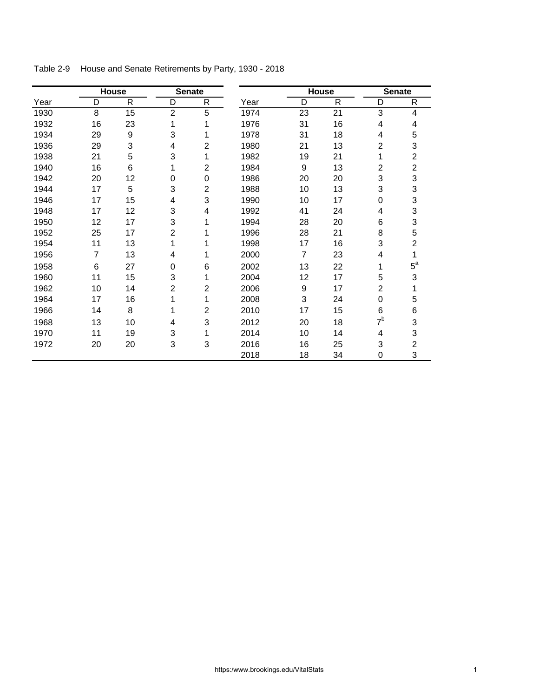|      | House |              | <b>Senate</b>  |                         |      | <b>House</b>     |              | <b>Senate</b>  |                |
|------|-------|--------------|----------------|-------------------------|------|------------------|--------------|----------------|----------------|
| Year | D     | $\mathsf{R}$ | D              | $\mathsf{R}$            | Year | D                | $\mathsf{R}$ | D              | R              |
| 1930 | 8     | 15           | $\overline{c}$ | 5                       | 1974 | 23               | 21           | 3              | 4              |
| 1932 | 16    | 23           | 1              | 1                       | 1976 | 31               | 16           | 4              | 4              |
| 1934 | 29    | 9            | 3              | 1                       | 1978 | 31               | 18           | 4              | 5              |
| 1936 | 29    | 3            | 4              | $\overline{2}$          | 1980 | 21               | 13           | $\overline{2}$ | 3              |
| 1938 | 21    | 5            | 3              | 1                       | 1982 | 19               | 21           | 1              | $\overline{c}$ |
| 1940 | 16    | 6            | 1              | $\overline{2}$          | 1984 | 9                | 13           | $\overline{2}$ | $\overline{2}$ |
| 1942 | 20    | 12           | $\mathbf 0$    | $\mathbf 0$             | 1986 | 20               | 20           | 3              | 3              |
| 1944 | 17    | 5            | 3              | $\overline{2}$          | 1988 | 10               | 13           | 3              | 3              |
| 1946 | 17    | 15           | 4              | 3                       | 1990 | 10               | 17           | $\Omega$       | 3              |
| 1948 | 17    | 12           | 3              | 4                       | 1992 | 41               | 24           | 4              | 3              |
| 1950 | 12    | 17           | 3              | 1                       | 1994 | 28               | 20           | 6              | 3              |
| 1952 | 25    | 17           | $\overline{c}$ | 1                       | 1996 | 28               | 21           | 8              | 5              |
| 1954 | 11    | 13           | 1              | 1                       | 1998 | 17               | 16           | 3              | $\overline{2}$ |
| 1956 | 7     | 13           | 4              | 1                       | 2000 | $\overline{7}$   | 23           | 4              | 1              |
| 1958 | 6     | 27           | $\mathbf 0$    | 6                       | 2002 | 13               | 22           | 1              | $5^{\text{a}}$ |
| 1960 | 11    | 15           | 3              | 1                       | 2004 | 12               | 17           | 5              | 3              |
| 1962 | 10    | 14           | $\overline{2}$ | $\overline{\mathbf{c}}$ | 2006 | $\boldsymbol{9}$ | 17           | $\overline{2}$ | 1              |
| 1964 | 17    | 16           | 1              | 1                       | 2008 | 3                | 24           | $\mathbf 0$    | 5              |
| 1966 | 14    | 8            | 1              | $\overline{2}$          | 2010 | 17               | 15           | 6              | 6              |
| 1968 | 13    | 10           | 4              | 3                       | 2012 | 20               | 18           | 7 <sup>b</sup> | 3              |
| 1970 | 11    | 19           | 3              | 1                       | 2014 | 10               | 14           | 4              | 3              |
| 1972 | 20    | 20           | 3              | 3                       | 2016 | 16               | 25           | 3              | $\overline{c}$ |
|      |       |              |                |                         | 2018 | 18               | 34           | 0              | 3              |

Table 2-9 House and Senate Retirements by Party, 1930 - 2018